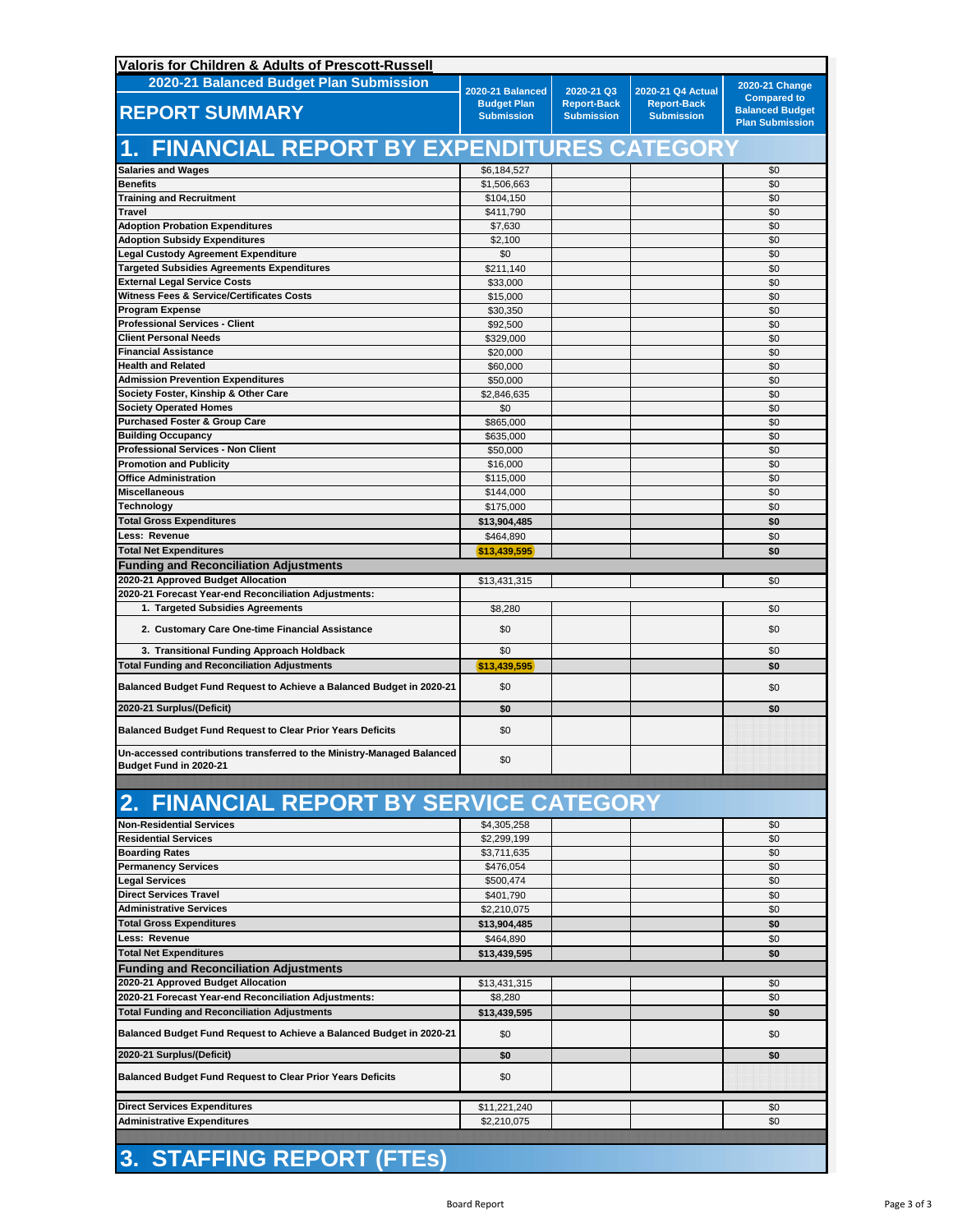| Valoris for Children & Adults of Prescott-Russell                                                |                                         |                                         |                                         |                                                                        |
|--------------------------------------------------------------------------------------------------|-----------------------------------------|-----------------------------------------|-----------------------------------------|------------------------------------------------------------------------|
| 2020-21 Balanced Budget Plan Submission                                                          | 2020-21 Balanced                        | 2020-21 Q3                              | 2020-21 Q4 Actual                       | 2020-21 Change                                                         |
| <b>REPORT SUMMARY</b>                                                                            | <b>Budget Plan</b><br><b>Submission</b> | <b>Report-Back</b><br><b>Submission</b> | <b>Report-Back</b><br><b>Submission</b> | <b>Compared to</b><br><b>Balanced Budget</b><br><b>Plan Submission</b> |
| 1. FINANCIAL REPORT BY EXPENDITURES CATEGORY                                                     |                                         |                                         |                                         |                                                                        |
| <b>Salaries and Wages</b>                                                                        | \$6,184,527                             |                                         |                                         | \$0                                                                    |
| <b>Benefits</b><br><b>Training and Recruitment</b>                                               | \$1,506,663<br>\$104,150                |                                         |                                         | \$0<br>\$0                                                             |
| <b>Travel</b>                                                                                    | \$411,790                               |                                         |                                         | \$0                                                                    |
| <b>Adoption Probation Expenditures</b>                                                           | \$7,630                                 |                                         |                                         | \$0                                                                    |
| <b>Adoption Subsidy Expenditures</b>                                                             | \$2,100                                 |                                         |                                         | \$0                                                                    |
| <b>Legal Custody Agreement Expenditure</b>                                                       | \$0                                     |                                         |                                         | \$0                                                                    |
| <b>Targeted Subsidies Agreements Expenditures</b>                                                | \$211,140                               |                                         |                                         | \$0                                                                    |
| <b>External Legal Service Costs</b><br><b>Witness Fees &amp; Service/Certificates Costs</b>      | \$33,000<br>\$15,000                    |                                         |                                         | \$0<br>\$0                                                             |
| <b>Program Expense</b>                                                                           | \$30,350                                |                                         |                                         | \$0                                                                    |
| <b>Professional Services - Client</b>                                                            | \$92,500                                |                                         |                                         | \$0                                                                    |
| <b>Client Personal Needs</b>                                                                     | \$329,000                               |                                         |                                         | \$0                                                                    |
| <b>Financial Assistance</b>                                                                      | \$20,000                                |                                         |                                         | \$0                                                                    |
| <b>Health and Related</b>                                                                        | \$60,000                                |                                         |                                         | \$0                                                                    |
| <b>Admission Prevention Expenditures</b><br>Society Foster, Kinship & Other Care                 | \$50,000<br>\$2,846,635                 |                                         |                                         | \$0<br>\$0                                                             |
| <b>Society Operated Homes</b>                                                                    | \$0                                     |                                         |                                         | \$0                                                                    |
| <b>Purchased Foster &amp; Group Care</b>                                                         | \$865,000                               |                                         |                                         | \$0                                                                    |
| <b>Building Occupancy</b>                                                                        | \$635,000                               |                                         |                                         | \$0                                                                    |
| <b>Professional Services - Non Client</b>                                                        | \$50,000                                |                                         |                                         | \$0                                                                    |
| <b>Promotion and Publicity</b>                                                                   | \$16,000                                |                                         |                                         | \$0                                                                    |
| <b>Office Administration</b><br><b>Miscellaneous</b>                                             | \$115,000                               |                                         |                                         | \$0                                                                    |
| Technology                                                                                       | \$144,000<br>\$175,000                  |                                         |                                         | \$0<br>\$0                                                             |
| <b>Total Gross Expenditures</b>                                                                  | \$13,904,485                            |                                         |                                         | \$0                                                                    |
| Less: Revenue                                                                                    | \$464,890                               |                                         |                                         | \$0                                                                    |
| <b>Total Net Expenditures</b>                                                                    | \$13,439,595                            |                                         |                                         | \$0                                                                    |
| <b>Funding and Reconciliation Adjustments</b>                                                    |                                         |                                         |                                         |                                                                        |
| 2020-21 Approved Budget Allocation                                                               | \$13,431,315                            |                                         |                                         | \$0                                                                    |
| 2020-21 Forecast Year-end Reconciliation Adjustments:                                            |                                         |                                         |                                         |                                                                        |
| 1. Targeted Subsidies Agreements<br>2. Customary Care One-time Financial Assistance              | \$8,280<br>\$0                          |                                         |                                         | \$0<br>\$0                                                             |
| 3. Transitional Funding Approach Holdback                                                        | \$0                                     |                                         |                                         | \$0                                                                    |
| <b>Total Funding and Reconciliation Adjustments</b>                                              | \$13,439,595                            |                                         |                                         | \$0                                                                    |
| Balanced Budget Fund Request to Achieve a Balanced Budget in 2020-21                             | \$0                                     |                                         |                                         | \$0                                                                    |
| 2020-21 Surplus/(Deficit)                                                                        | \$0                                     |                                         |                                         | \$0                                                                    |
| <b>Balanced Budget Fund Request to Clear Prior Years Deficits</b>                                | \$0                                     |                                         |                                         |                                                                        |
| Un-accessed contributions transferred to the Ministry-Managed Balanced<br>Budget Fund in 2020-21 | \$0                                     |                                         |                                         |                                                                        |
|                                                                                                  |                                         |                                         |                                         |                                                                        |
| <b>FINANCIAL REPORT BY SERVICE CATEGORY</b><br>2.                                                |                                         |                                         |                                         |                                                                        |
| <b>Non-Residential Services</b>                                                                  | \$4,305,258                             |                                         |                                         | \$0                                                                    |
| <b>Residential Services</b><br><b>Boarding Rates</b>                                             | \$2,299,199                             |                                         |                                         | \$0<br>\$0                                                             |
| <b>Permanency Services</b>                                                                       | \$3,711,635<br>\$476,054                |                                         |                                         | \$0                                                                    |
| <b>Legal Services</b>                                                                            | \$500,474                               |                                         |                                         | \$0                                                                    |
| <b>Direct Services Travel</b>                                                                    | \$401,790                               |                                         |                                         | \$0                                                                    |
| <b>Administrative Services</b>                                                                   | \$2,210,075                             |                                         |                                         | \$0                                                                    |
| <b>Total Gross Expenditures</b>                                                                  | \$13,904,485                            |                                         |                                         | \$0                                                                    |
| Less: Revenue                                                                                    | \$464,890                               |                                         |                                         | \$0                                                                    |
| <b>Total Net Expenditures</b>                                                                    | \$13,439,595                            |                                         |                                         | \$0                                                                    |
| <b>Funding and Reconciliation Adjustments</b><br>2020-21 Approved Budget Allocation              |                                         |                                         |                                         |                                                                        |
| 2020-21 Forecast Year-end Reconciliation Adjustments:                                            | \$13,431,315<br>\$8,280                 |                                         |                                         | \$0<br>\$0                                                             |
| <b>Total Funding and Reconciliation Adjustments</b>                                              | \$13,439,595                            |                                         |                                         | \$0                                                                    |
| <b>Balanced Budget Fund Request to Achieve a Balanced Budget in 2020-21</b>                      | \$0                                     |                                         |                                         | \$0                                                                    |
| 2020-21 Surplus/(Deficit)                                                                        | \$0                                     |                                         |                                         | \$0                                                                    |
| <b>Balanced Budget Fund Request to Clear Prior Years Deficits</b>                                | \$0                                     |                                         |                                         |                                                                        |
| <b>Direct Services Expenditures</b>                                                              | \$11,221,240                            |                                         |                                         | \$0                                                                    |
| Administrative Expenditures                                                                      | \$2,210,075                             |                                         |                                         | \$0                                                                    |
|                                                                                                  |                                         |                                         |                                         |                                                                        |
|                                                                                                  |                                         |                                         |                                         |                                                                        |

## **3. STAFFING REPORT (FTEs)**